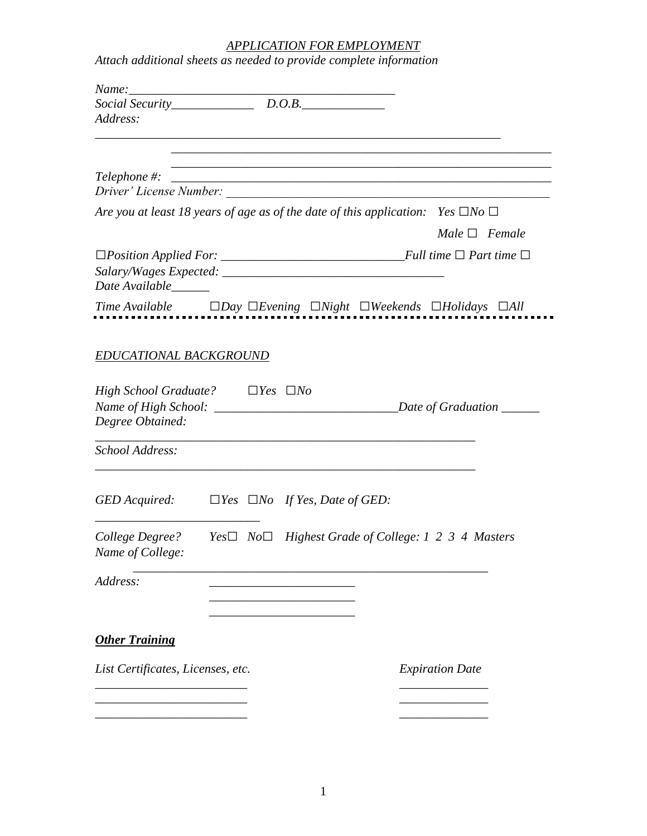## *APPLICATION FOR EMPLOYMENT*

*Attach additional sheets as needed to provide complete information*

| Name:                                                                               |  |                                                                                                 |
|-------------------------------------------------------------------------------------|--|-------------------------------------------------------------------------------------------------|
| $Social Security$ $D.O.B$ .                                                         |  |                                                                                                 |
| Address:                                                                            |  |                                                                                                 |
|                                                                                     |  |                                                                                                 |
| Telephone #:<br>Driver' License Number:                                             |  |                                                                                                 |
|                                                                                     |  | Are you at least 18 years of age as of the date of this application: Yes $\square$ No $\square$ |
|                                                                                     |  | $Male \ \Box \ \ Female$                                                                        |
| Date Available______                                                                |  |                                                                                                 |
|                                                                                     |  | $Time\ Available$ $\Box Day\ \Box Evening\ \Box Night\ \Box Weekends\ \Box Holidays\ \Box All$  |
|                                                                                     |  |                                                                                                 |
| EDUCATIONAL BACKGROUND                                                              |  |                                                                                                 |
| <i>High School Graduate?</i> $\Box$ <i>Yes</i> $\Box$ <i>No</i><br>Degree Obtained: |  | _Date of Graduation _____                                                                       |
| School Address:                                                                     |  |                                                                                                 |
| GED Acquired: $\Box Yes \ \Box No \ \ If Yes, Date of GED:$                         |  |                                                                                                 |
| College Degree?<br>Name of College:                                                 |  | <i>Yes</i> $□$ <i>No</i> $□$ <i>Highest Grade of College: 1 2 3 4 Masters</i>                   |
| Address:                                                                            |  |                                                                                                 |
|                                                                                     |  |                                                                                                 |
| <b>Other Training</b>                                                               |  |                                                                                                 |
| List Certificates, Licenses, etc.                                                   |  | <b>Expiration Date</b>                                                                          |
|                                                                                     |  |                                                                                                 |
|                                                                                     |  |                                                                                                 |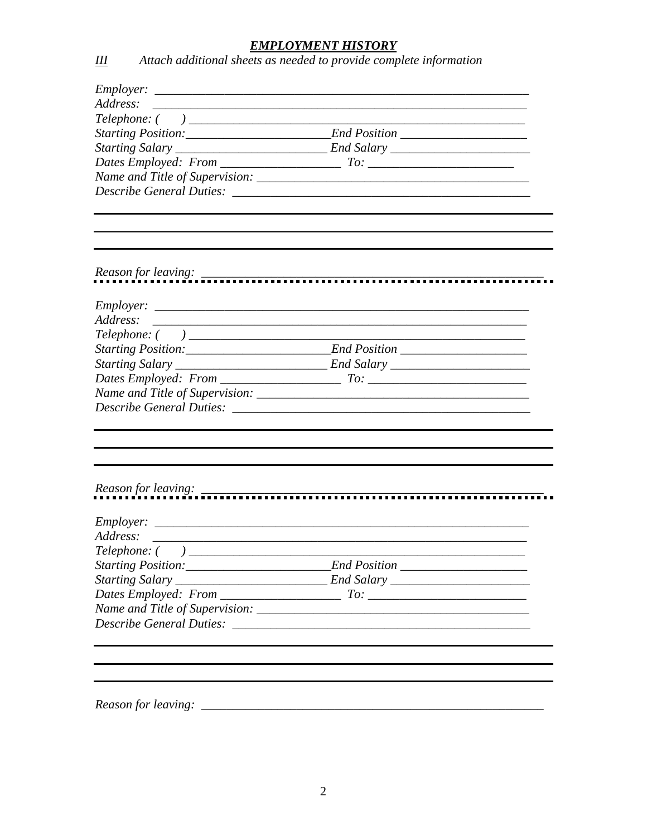## **EMPLOYMENT HISTORY**<br>Attach additional sheets as needed to provide complete information

| Employer: |  |
|-----------|--|
| Address:  |  |
|           |  |
|           |  |
|           |  |
|           |  |
|           |  |
|           |  |
|           |  |
|           |  |
|           |  |
|           |  |

 $\overline{2}$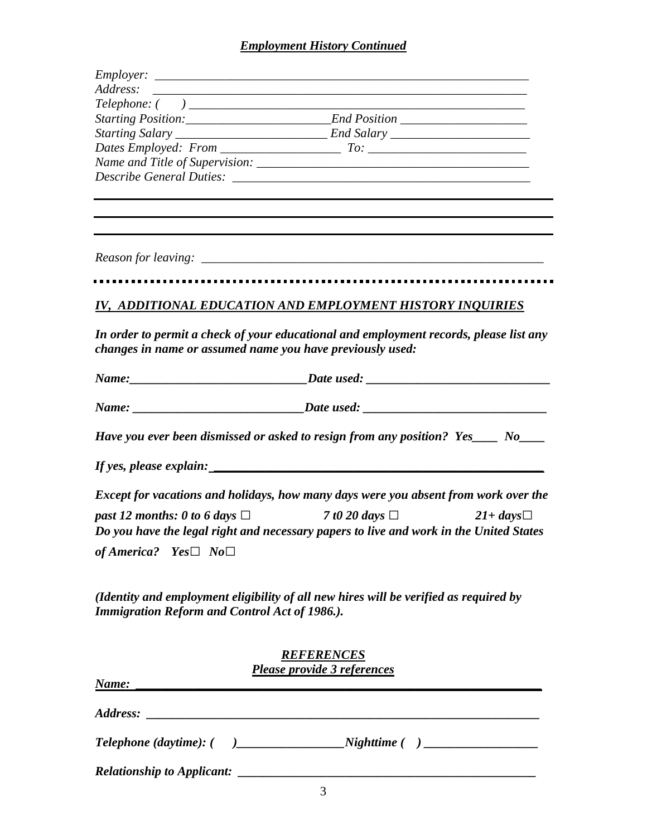## *Employment History Continued*

|                                                           | and the control of the control of the control of the control of the control of the control of the control of the                                                 |
|-----------------------------------------------------------|------------------------------------------------------------------------------------------------------------------------------------------------------------------|
|                                                           |                                                                                                                                                                  |
|                                                           |                                                                                                                                                                  |
|                                                           | IV, ADDITIONAL EDUCATION AND EMPLOYMENT HISTORY INQUIRIES                                                                                                        |
| changes in name or assumed name you have previously used: | In order to permit a check of your educational and employment records, please list any                                                                           |
|                                                           |                                                                                                                                                                  |
|                                                           |                                                                                                                                                                  |
|                                                           | Have you ever been dismissed or asked to resign from any position? Yes____ No____                                                                                |
|                                                           |                                                                                                                                                                  |
|                                                           | Except for vacations and holidays, how many days were you absent from work over the                                                                              |
|                                                           | past 12 months: 0 to 6 days $\Box$ 7 to 20 days $\Box$ 21+ days $\Box$<br>Do you have the legal right and necessary papers to live and work in the United States |
| of America? Yes $\Box$ No $\Box$                          |                                                                                                                                                                  |
| <b>Immigration Reform and Control Act of 1986.).</b>      | (Identity and employment eligibility of all new hires will be verified as required by                                                                            |
|                                                           | <b>REFERENCES</b>                                                                                                                                                |
|                                                           | <b>Please provide 3 references</b>                                                                                                                               |
| Name:                                                     | <u> 1989 - Johann Stoff, deutscher Stoffen und der Stoffen und der Stoffen und der Stoffen und der Stoffen und der</u>                                           |
|                                                           |                                                                                                                                                                  |
|                                                           |                                                                                                                                                                  |
|                                                           |                                                                                                                                                                  |
|                                                           |                                                                                                                                                                  |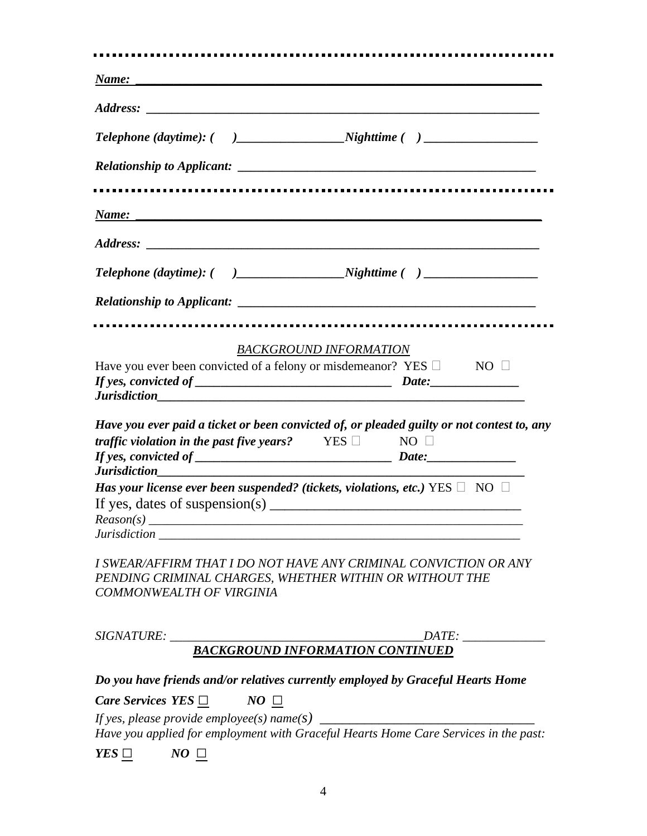|                                                                                                                                                                                                                               | Name: Name and the second contract of the second contract of the second contract of the second contract of the second contract of the second contract of the second contract of the second contract of the second contract of                                                                                                                                                                                 |
|-------------------------------------------------------------------------------------------------------------------------------------------------------------------------------------------------------------------------------|---------------------------------------------------------------------------------------------------------------------------------------------------------------------------------------------------------------------------------------------------------------------------------------------------------------------------------------------------------------------------------------------------------------|
|                                                                                                                                                                                                                               |                                                                                                                                                                                                                                                                                                                                                                                                               |
|                                                                                                                                                                                                                               |                                                                                                                                                                                                                                                                                                                                                                                                               |
|                                                                                                                                                                                                                               |                                                                                                                                                                                                                                                                                                                                                                                                               |
| Name: Name and the second contract of the second contract of the second contract of the second contract of the second contract of the second contract of the second contract of the second contract of the second contract of |                                                                                                                                                                                                                                                                                                                                                                                                               |
|                                                                                                                                                                                                                               |                                                                                                                                                                                                                                                                                                                                                                                                               |
|                                                                                                                                                                                                                               |                                                                                                                                                                                                                                                                                                                                                                                                               |
|                                                                                                                                                                                                                               |                                                                                                                                                                                                                                                                                                                                                                                                               |
|                                                                                                                                                                                                                               |                                                                                                                                                                                                                                                                                                                                                                                                               |
|                                                                                                                                                                                                                               | BACKGROUND INFORMATION                                                                                                                                                                                                                                                                                                                                                                                        |
|                                                                                                                                                                                                                               | Have you ever been convicted of a felony or misdemeanor? YES $\Box$ NO $\Box$                                                                                                                                                                                                                                                                                                                                 |
|                                                                                                                                                                                                                               | <i><u><b>Iurisdiction</b></u></i>                                                                                                                                                                                                                                                                                                                                                                             |
| <i>traffic violation in the past five years?</i> YES $\Box$ NO $\Box$                                                                                                                                                         |                                                                                                                                                                                                                                                                                                                                                                                                               |
|                                                                                                                                                                                                                               | Has your license ever been suspended? (tickets, violations, etc.) YES $\Box$ NO $\Box$                                                                                                                                                                                                                                                                                                                        |
|                                                                                                                                                                                                                               | Have you ever paid a ticket or been convicted of, or pleaded guilty or not contest to, any<br>If yes, dates of suspension(s) $\frac{1}{\sqrt{1-\frac{1}{2}}}\left  \frac{1}{\sqrt{1-\frac{1}{2}}}\right $                                                                                                                                                                                                     |
| COMMONWEALTH OF VIRGINIA                                                                                                                                                                                                      | PENDING CRIMINAL CHARGES, WHETHER WITHIN OR WITHOUT THE                                                                                                                                                                                                                                                                                                                                                       |
|                                                                                                                                                                                                                               | I SWEAR/AFFIRM THAT I DO NOT HAVE ANY CRIMINAL CONVICTION OR ANY                                                                                                                                                                                                                                                                                                                                              |
|                                                                                                                                                                                                                               |                                                                                                                                                                                                                                                                                                                                                                                                               |
|                                                                                                                                                                                                                               |                                                                                                                                                                                                                                                                                                                                                                                                               |
| <i>Care Services YES</i> $\Box$ NO $\Box$                                                                                                                                                                                     | Do you have friends and/or relatives currently employed by Graceful Hearts Home                                                                                                                                                                                                                                                                                                                               |
|                                                                                                                                                                                                                               | If yes, please provide employee(s) $\sum_{n=1}^{\infty}$ $\sum_{n=1}^{\infty}$ $\sum_{n=1}^{\infty}$ $\sum_{n=1}^{\infty}$ $\sum_{n=1}^{\infty}$ $\sum_{n=1}^{\infty}$ $\sum_{n=1}^{\infty}$ $\sum_{n=1}^{\infty}$ $\sum_{n=1}^{\infty}$ $\sum_{n=1}^{\infty}$ $\sum_{n=1}^{\infty}$ $\sum_{n=1}^{\infty}$ $\sum_{n=$<br>Have you applied for employment with Graceful Hearts Home Care Services in the past: |